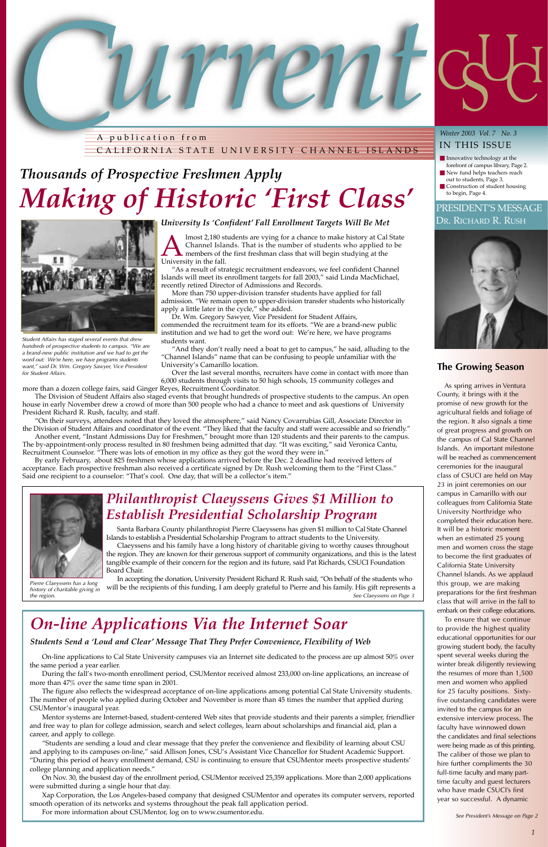lmost 2,180 students are vying for a chance to make history at Cal State Channel Islands. That is the number of students who applied to be members of the first freshman class that will begin studying at the University in the fall.

"As a result of strategic recruitment endeavors, we feel confident Channel Islands will meet its enrollment targets for fall 2003," said Linda MacMichael, recently retired Director of Admissions and Records.

More than 750 upper-division transfer students have applied for fall admission. "We remain open to upper-division transfer students who historically apply a little later in the cycle," she added.

Dr. Wm. Gregory Sawyer, Vice President for Student Affairs, commended the recruitment team for its efforts. "We are a brand-new public institution and we had to get the word out: We're here, we have programs students want.

"And they don't really need a boat to get to campus," he said, alluding to the "Channel Islands" name that can be confusing to people unfamiliar with the University's Camarillo location.

By early February, about 825 freshmen whose applications arrived before the Dec. 2 deadline had received letters of acceptance. Each prospective freshman also received a certificate signed by Dr. Rush welcoming them to the "First Class." Said one recipient to a counselor: "That's cool. One day, that will be a collector's item."

Over the last several months, recruiters have come in contact with more than 6,000 students through visits to 50 high schools, 15 community colleges and

more than a dozen college fairs, said Ginger Reyes, Recruitment Coordinator.

# PRESIDENT'S MESSAGE DR. RICHARD R. RUSH



The Division of Student Affairs also staged events that brought hundreds of prospective students to the campus. An open house in early November drew a crowd of more than 500 people who had a chance to meet and ask questions of University President Richard R. Rush, faculty, and staff.

"On their surveys, attendees noted that they loved the atmosphere," said Nancy Covarrubias Gill, Associate Director in the Division of Student Affairs and coordinator of the event. "They liked that the faculty and staff were accessible and so friendly."

Another event, "Instant Admissions Day for Freshmen," brought more than 120 students and their parents to the campus. The by-appointment-only process resulted in 80 freshmen being admitted that day. "It was exciting," said Veronica Cantu, Recruitment Counselor. "There was lots of emotion in my office as they got the word they were in."

During the fall's two-month enrollment period, CSUMentor received almost 233,000 on-line applications, an increase of more than 47% over the same time span in 2001.

The figure also reflects the widespread acceptance of on-line applications among potential Cal State University students. The number of people who applied during October and November is more than 45 times the number that applied during CSUMentor's inaugural year.



A publication from CALIFORNIA STATE UNIVERSITY CHANNEL ISLANDS

## **The Growing Season**

ìStudents are sending a loud and clear message that they prefer the convenience and flexibility of learning about CSU and applying to its campuses on-line," said Allison Jones, CSU's Assistant Vice Chancellor for Student Academic Support. ìDuring this period of heavy enrollment demand, CSU is continuing to ensure that CSUMentor meets prospective studentsí college planning and application needs."

As spring arrives in Ventura County, it brings with it the promise of new growth for the agricultural fields and foliage of the region. It also signals a time of great progress and growth on the campus of Cal State Channel Islands. An important milestone will be reached as commencement ceremonies for the inaugural class of CSUCI are held on May 23 in joint ceremonies on our campus in Camarillo with our colleagues from California State University Northridge who completed their education here. It will be a historic moment when an estimated 25 young men and women cross the stage to become the first graduates of California State University Channel Islands. As we applaud this group, we are making preparations for the first freshman class that will arrive in the fall to embark on their college educations.

To ensure that we continue

- Innovative technology at the forefront of campus library, Page 2.
- New fund helps teachers reach out to students, Page 3.
- Construction of student housing to begin, Page 4.

to provide the highest quality educational opportunities for our growing student body, the faculty spent several weeks during the winter break diligently reviewing the resumes of more than 1,500 men and women who applied for 25 faculty positions. Sixtyfive outstanding candidates were invited to the campus for an extensive interview process. The faculty have winnowed down the candidates and final selections were being made as of this printing. The caliber of those we plan to hire further compliments the 30 full-time faculty and many parttime faculty and guest lecturers who have made CSUCI's first year so successful. A dynamic

# *Thousands of Prospective Freshmen Apply Making of Historic 'First Class'*



*Student Affairs has staged several events that drew hundreds of prospective students to campus. "We are a brand-new public institution and we had to get the word out: We're here, we have programs students want," said Dr. Wm. Gregory Sawyer, Vice President for Student Affairs.*

*See President's Message on Page 2*

On-line applications to Cal State University campuses via an Internet site dedicated to the process are up almost 50% over the same period a year earlier.

Mentor systems are Internet-based, student-centered Web sites that provide students and their parents a simpler, friendlier and free way to plan for college admission, search and select colleges, learn about scholarships and financial aid, plan a career, and apply to college.

On Nov. 30, the busiest day of the enrollment period, CSUMentor received 25,359 applications. More than 2,000 applications were submitted during a single hour that day.

Xap Corporation, the Los Angeles-based company that designed CSUMentor and operates its computer servers, reported smooth operation of its networks and systems throughout the peak fall application period.

For more information about CSUMentor, log on to www.csumentor.edu.

# *On-line Applications Via the Internet Soar*

## *Students Send a 'Loud and Clear' Message That They Prefer Convenience, Flexibility of Web*

Santa Barbara County philanthropist Pierre Claeyssens has given \$1 million to Cal State Channel

Claeyssens and his family have a long history of charitable giving to worthy causes throughout



*history of charitable giving in*

Board Chair. In accepting the donation, University President Richard R. Rush said, "On behalf of the students who *Pierre Claeyssens has a long*<br>*history of charitable giving in* will be the recipients of this funding, I am deeply grateful to Pierre and his family. His gift represents a *the region. See Claeyssens on Page 3*

## *University Is 'Confident' Fall Enrollment Targets Will Be Met*

## *Winter 2003 Vol. 7 No. 3* IN THIS ISSUE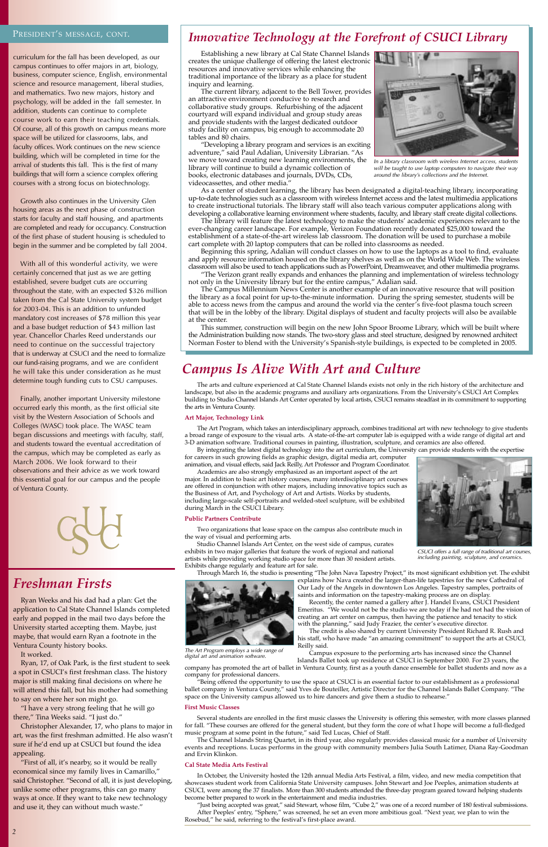Establishing a new library at Cal State Channel Islands creates the unique challenge of offering the latest electronic resources and innovative services while enhancing the traditional importance of the library as a place for student inquiry and learning.

ìDeveloping a library program and services is an exciting adventure," said Paul Adalian, University Librarian. "As we move toward creating new learning environments, the library will continue to build a dynamic collection of books, electronic databases and journals, DVDs, CDs, videocassettes, and other media.<sup>"</sup>

The current library, adjacent to the Bell Tower, provides an attractive environment conducive to research and collaborative study groups. Refurbishing of the adjacent courtyard will expand individual and group study areas and provide students with the largest dedicated outdoor study facility on campus, big enough to accommodate 20 tables and 80 chairs.

The library will feature the latest technology to make the students' academic experiences relevant to the ever-changing career landscape. For example, Verizon Foundation recently donated \$25,000 toward the establishment of a state-of-the-art wireless lab classroom. The donation will be used to purchase a mobile cart complete with 20 laptop computers that can be rolled into classrooms as needed.

Beginning this spring, Adalian will conduct classes on how to use the laptops as a tool to find, evaluate and apply resource information housed on the library shelves as well as on the World Wide Web. The wireless classroom will also be used to teach applications such as PowerPoint, Dreamweaver, and other multimedia programs.  $\emph{``The Verizon grant really expands and enhances the planning and implementation of wireless technology}$ 

not only in the University library but for the entire campus," Adalian said.

As a center of student learning, the library has been designated a digital-teaching library, incorporating up-to-date technologies such as a classroom with wireless Internet access and the latest multimedia applications to create instructional tutorials. The library staff will also teach various computer applications along with developing a collaborative learning environment where students, faculty, and library staff create digital collections.

With all of this wonderful activity, we were certainly concerned that just as we are getting established, severe budget cuts are occurring throughout the state, with an expected \$326 million taken from the Cal State University system budget for 2003-04. This is an addition to unfunded mandatory cost increases of \$78 million this year and a base budget reduction of \$43 million last year. Chancellor Charles Reed understands our need to continue on the successful trajectory that is underway at CSUCI and the need to formalize our fund-raising programs, and we are confident he will take this under consideration as he must determine tough funding cuts to CSU campuses.

The Campus Millennium News Center is another example of an innovative resource that will position the library as a focal point for up-to-the-minute information. During the spring semester, students will be able to access news from the campus and around the world via the center's five-foot plasma touch screen that will be in the lobby of the library. Digital displays of student and faculty projects will also be available at the center.

This summer, construction will begin on the new John Spoor Broome Library, which will be built where the Administration building now stands. The two-story glass and steel structure, designed by renowned architect Norman Foster to blend with the Universityís Spanish-style buildings, is expected to be completed in 2005.

# *Campus Is Alive With Art and Culture*

## PRESIDENT'S MESSAGE, CONT.

curriculum for the fall has been developed, as our campus continues to offer majors in art, biology, business, computer science, English, environmental science and resource management, liberal studies, and mathematics. Two new majors, history and psychology, will be added in the fall semester. In addition, students can continue to complete course work to earn their teaching credentials. Of course, all of this growth on campus means more space will be utilized for classrooms, labs, and faculty offices. Work continues on the new science building, which will be completed in time for the arrival of students this fall. This is the first of many buildings that will form a science complex offering courses with a strong focus on biotechnology.

> Studio Channel Islands Art Center, on the west side of campus, curates exhibits in two major galleries that feature the work of regional and national artists while providing working studio space for more than 30 resident artists. Exhibits change regularly and feature art for sale.

Through March 16, the studio is presenting "The John Nava Tapestry Project," its most significant exhibition yet. The exhibit explains how Nava created the larger-than-life tapestries for the new Cathedral of

Growth also continues in the University Glen housing areas as the next phase of construction starts for faculty and staff housing, and apartments are completed and ready for occupancy. Construction of the first phase of student housing is scheduled to begin in the summer and be completed by fall 2004.

> Several students are enrolled in the first music classes the University is offering this semester, with more classes planned for fall. "These courses are offered for the general student, but they form the core of what I hope will become a full-fledged music program at some point in the future," said Ted Lucas, Chief of Staff.

Finally, another important University milestone occurred early this month, as the first official site visit by the Western Association of Schools and Colleges (WASC) took place. The WASC team began discussions and meetings with faculty, staff, and students toward the eventual accreditation of the campus, which may be completed as early as March 2006. We look forward to their observations and their advice as we work toward this essential goal for our campus and the people of Ventura County.



The arts and culture experienced at Cal State Channel Islands exists not only in the rich history of the architecture and landscape, but also in the academic programs and auxiliary arts organizations. From the University's CSUCI Art Complex building to Studio Channel Islands Art Center operated by local artists, CSUCI remains steadfast in its commitment to supporting the arts in Ventura County.

#### **Art Major, Technology Link**

The Art Program, which takes an interdisciplinary approach, combines traditional art with new technology to give students a broad range of exposure to the visual arts. A state-of-the-art computer lab is equipped with a wide range of digital art and 3-D animation software. Traditional courses in painting, illustration, sculpture, and ceramics are also offered.

By integrating the latest digital technology into the art curriculum, the University can provide students with the expertise for careers in such growing fields as graphic design, digital media art, computer animation, and visual effects, said Jack Reilly, Art Professor and Program Coordinator.

Academics are also strongly emphasized as an important aspect of the art major. In addition to basic art history courses, many interdisciplinary art courses are offered in conjunction with other majors, including innovative topics such as the Business of Art, and Psychology of Art and Artists. Works by students, including large-scale self-portraits and welded-steel sculpture, will be exhibited during March in the CSUCI Library.

#### **Public Partners Contribute**

Two organizations that lease space on the campus also contribute much in the way of visual and performing arts.



saints and information on the tapestry-making process are on display. Recently, the center named a gallery after J. Handel Evans, CSUCI President Emeritus. "We would not be the studio we are today if he had not had the vision of creating an art center on campus, then having the patience and tenacity to stick

The credit is also shared by current University President Richard R. Rush and his staff, who have made "an amazing commitment" to support the arts at CSUCI, Reilly said.

Campus exposure to the performing arts has increased since the Channel Islands Ballet took up residence at CSUCI in September 2000. For 23 years, the

company has promoted the art of ballet in Ventura County, first as a youth dance ensemble for ballet students and now as a company for professional dancers.

"Being offered the opportunity to use the space at CSUCI is an essential factor to our establishment as a professional ballet company in Ventura County," said Yves de Bouteiller, Artistic Director for the Channel Islands Ballet Company. "The space on the University campus allowed us to hire dancers and give them a studio to rehearse."

#### **First Music Classes**

The Channel Islands String Quartet, in its third year, also regularly provides classical music for a number of University events and receptions. Lucas performs in the group with community members Julia South Latimer, Diana Ray-Goodman and Ervin Klinkon.

#### **Cal State Media Arts Festival**

In October, the University hosted the 12th annual Media Arts Festival, a film, video, and new media competition that showcases student work from California State University campuses. John Stewart and Joe Peeples, animation students at CSUCI, were among the 37 finalists. More than 300 students attended the three-day program geared toward helping students become better prepared to work in the entertainment and media industries.

"Just being accepted was great," said Stewart, whose film, "Cube 2," was one of a record number of 180 festival submissions. After Peeples' entry, "Sphere," was screened, he set an even more ambitious goal. "Next year, we plan to win the Rosebud," he said, referring to the festival's first-place award.

# *Innovative Technology at the Forefront of CSUCI Library*



*In a library classroom with wireless Internet access, students will be taught to use laptop computers to navigate their way around the library's collections and the Internet.*



*CSUCI offers a full range of traditional art courses, including painting, sculpture, and ceramics.*

# *Freshman Firsts*

Ryan Weeks and his dad had a plan: Get the application to Cal State Channel Islands completed early and popped in the mail two days before the University started accepting them. Maybe, just maybe, that would earn Ryan a footnote in the Ventura County history books.

#### It worked.

Ryan, 17, of Oak Park, is the first student to seek a spot in CSUCI's first freshman class. The history major is still making final decisions on where he will attend this fall, but his mother had something to say on where her son might go.

"I have a very strong feeling that he will go there," Tina Weeks said. "I just do."

Christopher Alexander, 17, who plans to major in art, was the first freshman admitted. He also wasn't sure if he'd end up at CSUCI but found the idea appealing.

"First of all, it's nearby, so it would be really economical since my family lives in Camarillo," said Christopher. "Second of all, it is just developing, unlike some other programs, this can go many ways at once. If they want to take new technology and use it, they can without much waste."

*The Art Program employs a wide range of digital art and animation software.*

with the planning," said Judy Frazier, the center's executive director.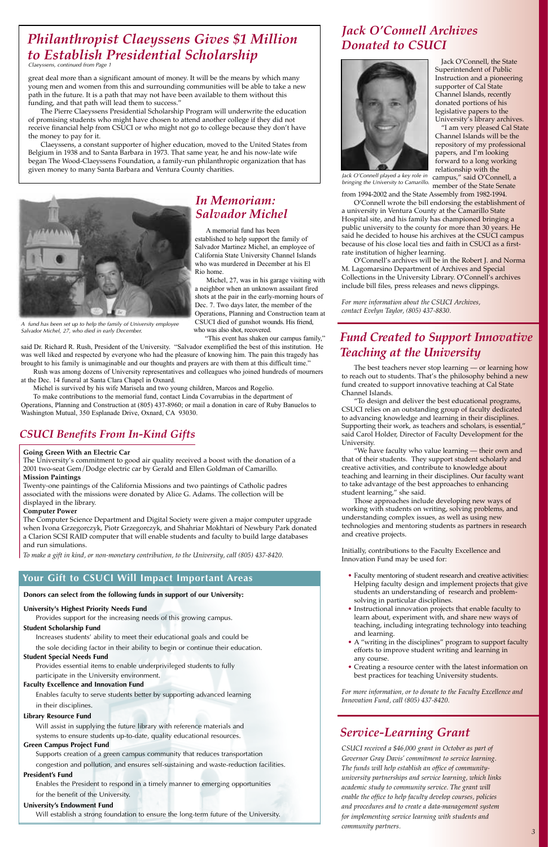"I am very pleased Cal State Channel Islands will be the repository of my professional papers, and I'm looking forward to a long working relationship with the campus," said O'Connell, a member of the State Senate

O'Connell wrote the bill endorsing the establishment of a university in Ventura County at the Camarillo State Hospital site, and his family has championed bringing a public university to the county for more than 30 years. He said he decided to house his archives at the CSUCI campus because of his close local ties and faith in CSUCI as a firstrate institution of higher learning.

from 1994-2002 and the State Assembly from 1982-1994.

O'Connell's archives will be in the Robert J. and Norma M. Lagomarsino Department of Archives and Special Collections in the University Library. O'Connell's archives include bill files, press releases and news clippings.

The best teachers never stop learning — or learning how to reach out to students. That's the philosophy behind a new fund created to support innovative teaching at Cal State Channel Islands.

To design and deliver the best educational programs, CSUCI relies on an outstanding group of faculty dedicated to advancing knowledge and learning in their disciplines. Supporting their work, as teachers and scholars, is essential," said Carol Holder, Director of Faculty Development for the University.

"We have faculty who value learning — their own and that of their students. They support student scholarly and creative activities, and contribute to knowledge about teaching and learning in their disciplines. Our faculty want to take advantage of the best approaches to enhancing student learning," she said.

*For more information about the CSUCI Archives, contact Evelyn Taylor, (805) 437-8830.*

- Faculty mentoring of student research and creative activities: Helping faculty design and implement projects that give students an understanding of research and problemsolving in particular disciplines.
- Instructional innovation projects that enable faculty to learn about, experiment with, and share new ways of teaching, including integrating technology into teaching and learning. • A "writing in the disciplines" program to support faculty efforts to improve student writing and learning in any course.

• Creating a resource center with the latest information on best practices for teaching University students.

great deal more than a significant amount of money. It will be the means by which many young men and women from this and surrounding communities will be able to take a new path in the future. It is a path that may not have been available to them without this funding, and that path will lead them to success."

> Those approaches include developing new ways of working with students on writing, solving problems, and understanding complex issues, as well as using new technologies and mentoring students as partners in research and creative projects.

Initially, contributions to the Faculty Excellence and Innovation Fund may be used for:

*For more information, or to donate to the Faculty Excellence and Innovation Fund, call (805) 437-8420.*

The University's commitment to good air quality received a boost with the donation of a 2001 two-seat Gem/Dodge electric car by Gerald and Ellen Goldman of Camarillo.

> *CSUCI received a \$46,000 grant in October as part of Governor Gray Davis' commitment to service learning. The funds will help establish an office of communityuniversity partnerships and service learning, which links academic study to community service. The grant will enable the office to help faculty develop courses, policies and procedures and to create a data-management system for implementing service learning with students and community partners.*

# *Jack O'Connell Archives*

# *Donated to CSUCI Philanthropist Claeyssens Gives \$1 Million to Establish Presidential Scholarship*

The Pierre Claeyssens Presidential Scholarship Program will underwrite the education of promising students who might have chosen to attend another college if they did not receive financial help from CSUCI or who might not go to college because they don't have the money to pay for it.

Claeyssens, a constant supporter of higher education, moved to the United States from Belgium in 1938 and to Santa Barbara in 1973. That same year, he and his now-late wife began The Wood-Claeyssens Foundation, a family-run philanthropic organization that has given money to many Santa Barbara and Ventura County charities.

**Donors can select from the following funds in support of our University:**

### **University's Highest Priority Needs Fund**

Provides support for the increasing needs of this growing campus.

#### **Student Scholarship Fund**

Increases students' ability to meet their educational goals and could be the sole deciding factor in their ability to begin or continue their education.

### **Student Special Needs Fund**

Provides essential items to enable underprivileged students to fully participate in the University environment.

### **Faculty Excellence and Innovation Fund**

Enables faculty to serve students better by supporting advanced learning in their disciplines.

#### **Library Resource Fund**

Will assist in supplying the future library with reference materials and systems to ensure students up-to-date, quality educational resources. **Green Campus Project Fund**

Supports creation of a green campus community that reduces transportation congestion and pollution, and ensures self-sustaining and waste-reduction facilities.

### **President's Fund**

Enables the President to respond in a timely manner to emerging opportunities for the benefit of the University.

#### **University's Endowment Fund**

Will establish a strong foundation to ensure the long-term future of the University.

## **Your Gift to CSUCI Will Impact Important Areas**

**Going Green With an Electric Car**

## **Mission Paintings**

Twenty-one paintings of the California Missions and two paintings of Catholic padres associated with the missions were donated by Alice G. Adams. The collection will be displayed in the library.

### **Computer Power**

The Computer Science Department and Digital Society were given a major computer upgrade when Ivona Grzegorczyk, Piotr Grzegorczyk, and Shahriar Mokhtari of Newbury Park donated a Clarion SCSI RAID computer that will enable students and faculty to build large databases and run simulations.

*To make a gift in kind, or non-monetary contribution, to the University, call (805) 437-8420.*

# *CSUCI Benefits From In-Kind Gifts*

# *Service-Learning Grant*

# *Fund Created to Support Innovative Teaching at the University*

*Claeyssens, continued from Page 1*



*Jack O'Connell played a key role in bringing the University to Camarillo.*

Jack O'Connell, the State Superintendent of Public Instruction and a pioneering supporter of Cal State Channel Islands, recently donated portions of his legislative papers to the University's library archives.

# *In Memoriam: Salvador Michel*

A memorial fund has been established to help support the family of Salvador Martinez Michel, an employee of California State University Channel Islands who was murdered in December at his El Rio home.

Michel, 27, was in his garage visiting with a neighbor when an unknown assailant fired shots at the pair in the early-morning hours of Dec. 7. Two days later, the member of the Operations, Planning and Construction team at CSUCI died of gunshot wounds. His friend, who was also shot, recovered.

"This event has shaken our campus family,"

said Dr. Richard R. Rush, President of the University. "Salvador exemplified the best of this institution. He was well liked and respected by everyone who had the pleasure of knowing him. The pain this tragedy has brought to his family is unimaginable and our thoughts and prayers are with them at this difficult time."

Rush was among dozens of University representatives and colleagues who joined hundreds of mourners at the Dec. 14 funeral at Santa Clara Chapel in Oxnard.

Michel is survived by his wife Marisela and two young children, Marcos and Rogelio.

To make contributions to the memorial fund, contact Linda Covarrubias in the department of Operations, Planning and Construction at (805) 437-8960; or mail a donation in care of Ruby Banuelos to Washington Mutual, 350 Esplanade Drive, Oxnard, CA 93030.



*A fund has been set up to help the family of University employee Salvador Michel, 27, who died in early December.*